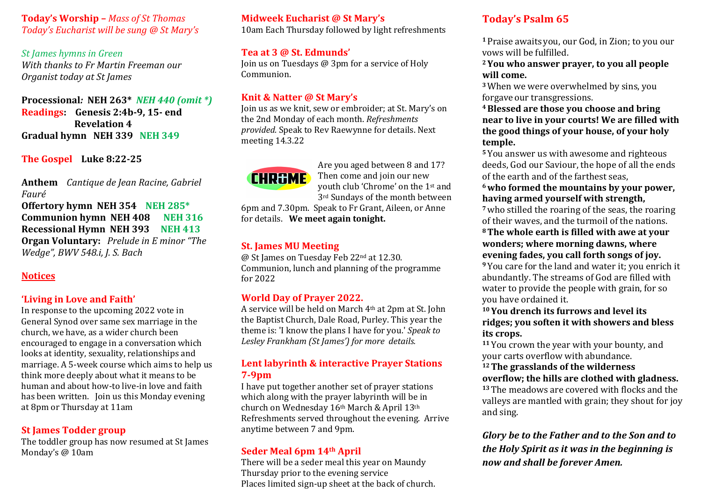#### **Today's Worship –** *Mass of St Thomas Today's Eucharist will be sung @ St Mary's*

**St lames hymns in Green** *With thanks to Fr Martin Freeman our Organist today at St James* 

**Processional***:* **NEH 263\*** *NEH 440 (omit \*)* **Readings: Genesis 2:4b-9, 15- end Revelation 4 Gradual hymn NEH 339 NEH 349** 

**The Gospel Luke 8:22-25**

Anthem Cantique de Jean Racine, Gabriel *Fauré* 

**Offertory hymn NEH 354 NEH 285\* Communion hymn NEH 408 NEH 316 Recessional Hymn NEH 393 NEH 413 Organ Voluntary:** Prelude in E minor "The *Wedge", BWV 548.i, J. S. Bach* 

# **Notices**

## 'Living in Love and Faith'

In response to the upcoming 2022 vote in General Synod over same sex marriage in the church, we have, as a wider church been encouraged to engage in a conversation which looks at identity, sexuality, relationships and marriage. A 5-week course which aims to help us think more deeply about what it means to be human and about how-to live-in love and faith has been written. Join us this Monday evening at 8pm or Thursday at 11am

#### **St James Todder group**

The toddler group has now resumed at St James Monday's @ 10am

## **Midweek Eucharist @ St Mary's**

10am Each Thursday followed by light refreshments

## **Tea at 3 @ St. Edmunds'**

Join us on Tuesdays  $\omega$  3pm for a service of Holy Communion. 

## **Knit & Natter @ St Mary's**

Join us as we knit, sew or embroider; at St. Mary's on the 2nd Monday of each month. *Refreshments provided.* Speak to Rev Raewynne for details. Next meeting 14.3.22



Are you aged between 8 and 17? Then come and join our new youth club 'Chrome' on the 1<sup>st</sup> and 3<sup>rd</sup> Sundays of the month between

6pm and 7.30pm. Speak to Fr Grant, Aileen, or Anne for details. We meet again tonight.

## **St. James MU Meeting**

@ St James on Tuesday Feb 22<sup>nd</sup> at 12.30. Communion, lunch and planning of the programme for 2022

## **World Day of Prayer 2022.**

A service will be held on March 4<sup>th</sup> at 2pm at St. John the Baptist Church, Dale Road, Purley. This year the theme is: 'I know the plans I have for you.' *Speak to Lesley Frankham (St James') for more details.*

## **Lent labyrinth & interactive Prayer Stations 7-9pm**

I have put together another set of prayer stations which along with the prayer labyrinth will be in church on Wednesday 16<sup>th</sup> March & April 13<sup>th</sup> Refreshments served throughout the evening. Arrive anytime between 7 and 9pm.

# **Seder Meal 6pm 14th April**

There will be a seder meal this year on Maundy Thursday prior to the evening service Places limited sign-up sheet at the back of church.

# **Today's Psalm 65**

<sup>1</sup> Praise awaits you, our God, in Zion; to you our vows will be fulfilled.

<sup>2</sup> You who answer prayer, to you all people will come.

<sup>3</sup> When we were overwhelmed by sins, you forgave our transgressions.

<sup>4</sup> Blessed are those you choose and bring **near to live in your courts! We are filled with** the good things of your house, of your holy **temple.**

<sup>5</sup> You answer us with awesome and righteous deeds, God our Saviour, the hope of all the ends of the earth and of the farthest seas.

#### **6who formed the mountains by your power,** having armed yourself with strength,

<sup>7</sup> who stilled the roaring of the seas, the roaring of their waves, and the turmoil of the nations.

#### <sup>8</sup> The whole earth is filled with awe at your **wonders; where morning dawns, where evening fades, you call forth songs of joy.**

<sup>9</sup> You care for the land and water it; you enrich it abundantly. The streams of God are filled with water to provide the people with grain, for so you have ordained it.

#### <sup>10</sup> You drench its furrows and level its ridges; you soften it with showers and bless **its crops.**

<sup>11</sup> You crown the year with your bounty, and your carts overflow with abundance.

<sup>12</sup> The grasslands of the wilderness **overflow; the hills are clothed with gladness.** <sup>13</sup> The meadows are covered with flocks and the valleys are mantled with grain; they shout for joy and sing.

*Glory be to the Father and to the Son and to the Holy Spirit as it was in the beginning is now and shall be forever Amen.*